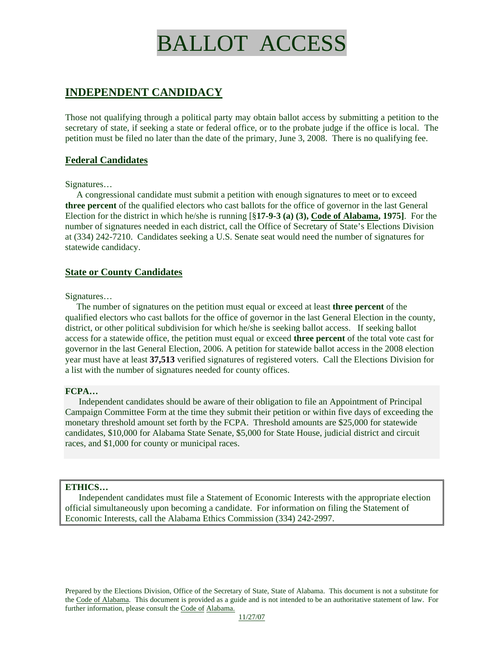# BALLOT ACCESS

# **INDEPENDENT CANDIDACY**

Those not qualifying through a political party may obtain ballot access by submitting a petition to the secretary of state, if seeking a state or federal office, or to the probate judge if the office is local. The petition must be filed no later than the date of the primary, June 3, 2008. There is no qualifying fee.

# **Federal Candidates**

#### Signatures…

 A congressional candidate must submit a petition with enough signatures to meet or to exceed **three percent** of the qualified electors who cast ballots for the office of governor in the last General Election for the district in which he/she is running [§**17-9-3 (a) (3), Code of Alabama, 1975]**. For the number of signatures needed in each district, call the Office of Secretary of State's Elections Division at (334) 242-7210. Candidates seeking a U.S. Senate seat would need the number of signatures for statewide candidacy.

# **State or County Candidates**

#### Signatures…

 The number of signatures on the petition must equal or exceed at least **three percent** of the qualified electors who cast ballots for the office of governor in the last General Election in the county, district, or other political subdivision for which he/she is seeking ballot access. If seeking ballot access for a statewide office, the petition must equal or exceed **three percent** of the total vote cast for governor in the last General Election, 2006. A petition for statewide ballot access in the 2008 election year must have at least **37,513** verified signatures of registered voters. Call the Elections Division for a list with the number of signatures needed for county offices.

### **FCPA…**

 Independent candidates should be aware of their obligation to file an Appointment of Principal Campaign Committee Form at the time they submit their petition or within five days of exceeding the monetary threshold amount set forth by the FCPA. Threshold amounts are \$25,000 for statewide candidates, \$10,000 for Alabama State Senate, \$5,000 for State House, judicial district and circuit races, and \$1,000 for county or municipal races.

### **ETHICS…**

 Independent candidates must file a Statement of Economic Interests with the appropriate election official simultaneously upon becoming a candidate. For information on filing the Statement of Economic Interests, call the Alabama Ethics Commission (334) 242-2997.

Prepared by the Elections Division, Office of the Secretary of State, State of Alabama. This document is not a substitute for the Code of Alabama. This document is provided as a guide and is not intended to be an authoritative statement of law. For further information, please consult the Code of Alabama.